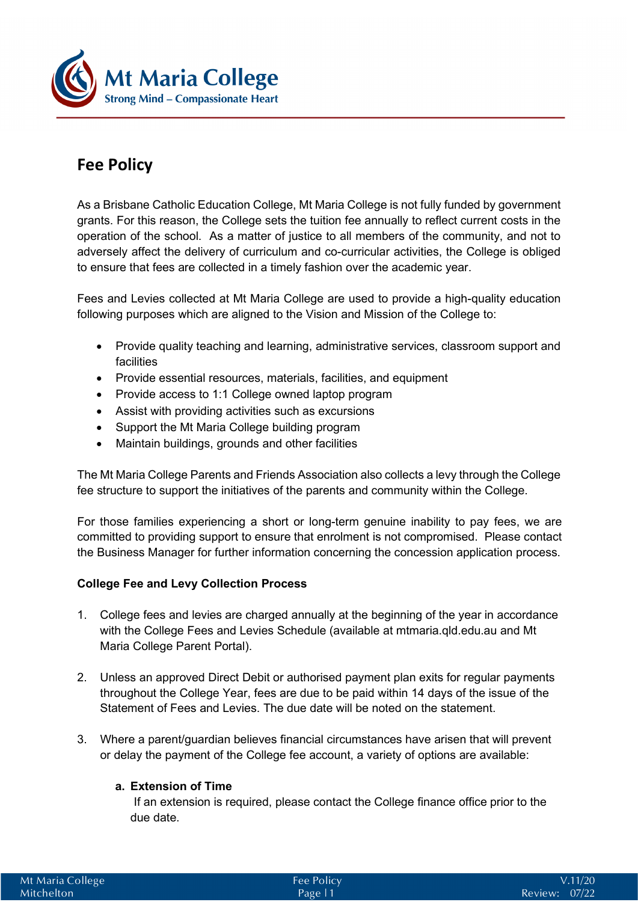

# **Fee Policy**

As a Brisbane Catholic Education College, Mt Maria College is not fully funded by government grants. For this reason, the College sets the tuition fee annually to reflect current costs in the operation of the school. As a matter of justice to all members of the community, and not to adversely affect the delivery of curriculum and co-curricular activities, the College is obliged to ensure that fees are collected in a timely fashion over the academic year.

Fees and Levies collected at Mt Maria College are used to provide a high-quality education following purposes which are aligned to the Vision and Mission of the College to:

- Provide quality teaching and learning, administrative services, classroom support and facilities
- Provide essential resources, materials, facilities, and equipment
- Provide access to 1:1 College owned laptop program
- Assist with providing activities such as excursions
- Support the Mt Maria College building program
- Maintain buildings, grounds and other facilities

The Mt Maria College Parents and Friends Association also collects a levy through the College fee structure to support the initiatives of the parents and community within the College.

For those families experiencing a short or long-term genuine inability to pay fees, we are committed to providing support to ensure that enrolment is not compromised. Please contact the Business Manager for further information concerning the concession application process.

#### **College Fee and Levy Collection Process**

- 1. College fees and levies are charged annually at the beginning of the year in accordance with the College Fees and Levies Schedule (available at mtmaria.qld.edu.au and Mt Maria College Parent Portal).
- 2. Unless an approved Direct Debit or authorised payment plan exits for regular payments throughout the College Year, fees are due to be paid within 14 days of the issue of the Statement of Fees and Levies. The due date will be noted on the statement.
- 3. Where a parent/guardian believes financial circumstances have arisen that will prevent or delay the payment of the College fee account, a variety of options are available:

#### **a. Extension of Time**

 If an extension is required, please contact the College finance office prior to the due date.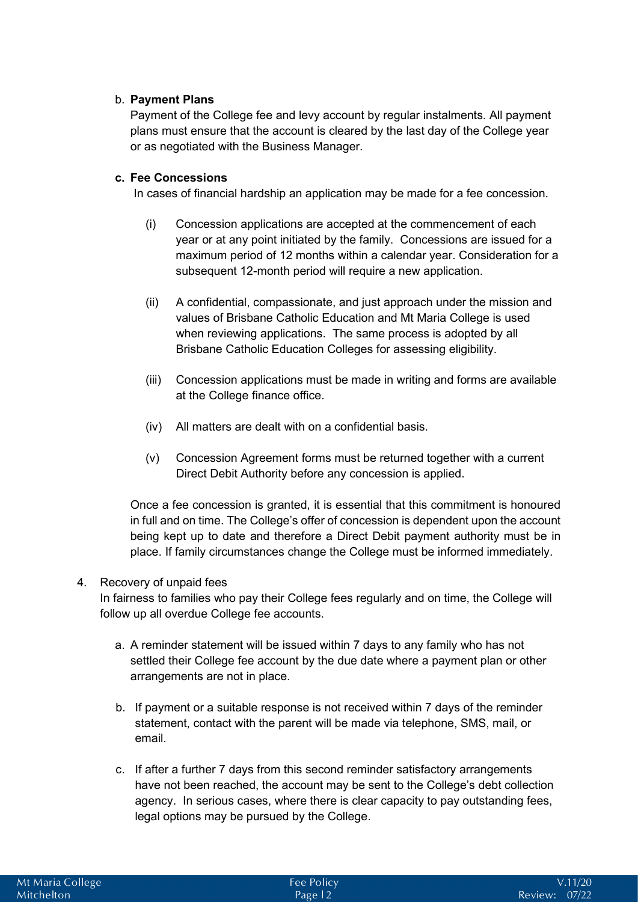# b. **Payment Plans**

Payment of the College fee and levy account by regular instalments. All payment plans must ensure that the account is cleared by the last day of the College year or as negotiated with the Business Manager.

## **c. Fee Concessions**

In cases of financial hardship an application may be made for a fee concession.

- (i) Concession applications are accepted at the commencement of each year or at any point initiated by the family. Concessions are issued for a maximum period of 12 months within a calendar year. Consideration for a subsequent 12-month period will require a new application.
- (ii) A confidential, compassionate, and just approach under the mission and values of Brisbane Catholic Education and Mt Maria College is used when reviewing applications. The same process is adopted by all Brisbane Catholic Education Colleges for assessing eligibility.
- (iii) Concession applications must be made in writing and forms are available at the College finance office.
- (iv) All matters are dealt with on a confidential basis.
- (v) Concession Agreement forms must be returned together with a current Direct Debit Authority before any concession is applied.

Once a fee concession is granted, it is essential that this commitment is honoured in full and on time. The College's offer of concession is dependent upon the account being kept up to date and therefore a Direct Debit payment authority must be in place. If family circumstances change the College must be informed immediately.

#### 4. Recovery of unpaid fees

In fairness to families who pay their College fees regularly and on time, the College will follow up all overdue College fee accounts.

- a. A reminder statement will be issued within 7 days to any family who has not settled their College fee account by the due date where a payment plan or other arrangements are not in place.
- b. If payment or a suitable response is not received within 7 days of the reminder statement, contact with the parent will be made via telephone, SMS, mail, or email.
- c. If after a further 7 days from this second reminder satisfactory arrangements have not been reached, the account may be sent to the College's debt collection agency. In serious cases, where there is clear capacity to pay outstanding fees, legal options may be pursued by the College.